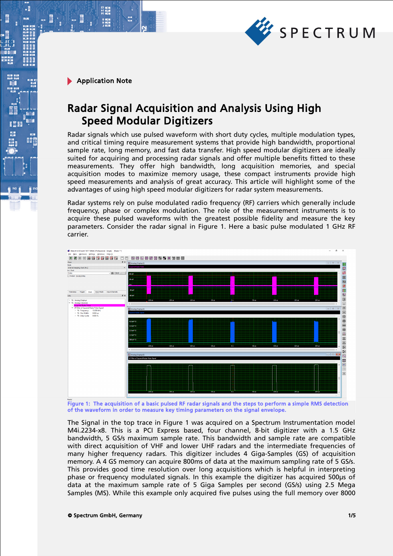

 $\cdot$ E

# Radar Signal Acquisition and Analysis Using High Speed Modular Digitizers

Radar signals which use pulsed waveform with short duty cycles, multiple modulation types, and critical timing require measurement systems that provide high bandwidth, proportional sample rate, long memory, and fast data transfer. High speed modular digitizers are ideally suited for acquiring and processing radar signals and offer multiple benefits fitted to these measurements. They offer high bandwidth, long acquisition memories, and special acquisition modes to maximize memory usage, these compact instruments provide high speed measurements and analysis of great accuracy. This article will highlight some of the advantages of using high speed modular digitizers for radar system measurements.

Radar systems rely on pulse modulated radio frequency (RF) carriers which generally include frequency, phase or complex modulation. The role of the measurement instruments is to acquire these pulsed waveforms with the greatest possible fidelity and measure the key parameters. Consider the radar signal in Figure 1. Here a basic pulse modulated 1 GHz RF carrier.



Figure 1: The acquisition of a basic pulsed RF radar signals and the steps to perform a simple RMS detection of the waveform in order to measure key timing parameters on the signal envelope.

The Signal in the top trace in Figure 1 was acquired on a Spectrum Instrumentation model M4i.2234-x8. This is a PCI Express based, four channel, 8-bit digitizer with a 1.5 GHz bandwidth, 5 GS/s maximum sample rate. This bandwidth and sample rate are compatible with direct acquisition of VHF and lower UHF radars and the intermediate frequencies of many higher frequency radars. This digitizer includes 4 Giga-Samples (GS) of acquisition memory. A 4 GS memory can acquire 800ms of data at the maximum sampling rate of 5 GS/s. This provides good time resolution over long acquisitions which is helpful in interpreting phase or frequency modulated signals. In this example the digitizer has acquired 500µs of data at the maximum sample rate of 5 Giga Samples per second (GS/s) using 2.5 Mega Samples (MS). While this example only acquired five pulses using the full memory over 8000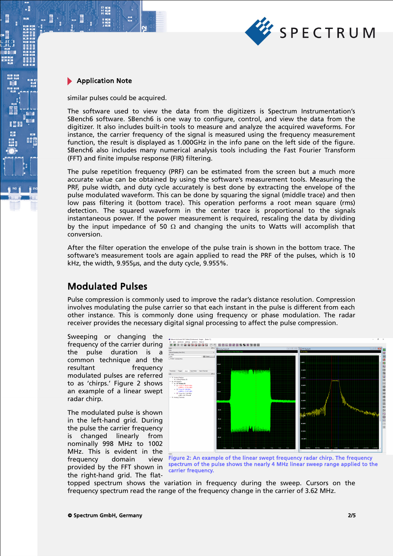

 $\cdot$ E

similar pulses could be acquired.

The software used to view the data from the digitizers is Spectrum Instrumentation's SBench6 software. SBench6 is one way to configure, control, and view the data from the digitizer. It also includes built-in tools to measure and analyze the acquired waveforms. For instance, the carrier frequency of the signal is measured using the frequency measurement function, the result is displayed as 1.000GHz in the info pane on the left side of the figure. SBench6 also includes many numerical analysis tools including the Fast Fourier Transform (FFT) and finite impulse response (FIR) filtering.

The pulse repetition frequency (PRF) can be estimated from the screen but a much more accurate value can be obtained by using the software's measurement tools. Measuring the PRF, pulse width, and duty cycle accurately is best done by extracting the envelope of the pulse modulated waveform. This can be done by squaring the signal (middle trace) and then low pass filtering it (bottom trace). This operation performs a root mean square (rms) detection. The squared waveform in the center trace is proportional to the signals instantaneous power. If the power measurement is required, rescaling the data by dividing by the input impedance of 50  $\Omega$  and changing the units to Watts will accomplish that conversion.

After the filter operation the envelope of the pulse train is shown in the bottom trace. The software's measurement tools are again applied to read the PRF of the pulses, which is 10 kHz, the width, 9.955µs, and the duty cycle, 9.955%.

## Modulated Pulses

Pulse compression is commonly used to improve the radar's distance resolution. Compression involves modulating the pulse carrier so that each instant in the pulse is different from each other instance. This is commonly done using frequency or phase modulation. The radar receiver provides the necessary digital signal processing to affect the pulse compression.

Sweeping or changing the frequency of the carrier during the pulse duration is a common technique and the resultant frequency modulated pulses are referred to as 'chirps.' Figure 2 shows an example of a linear swept radar chirp.

The modulated pulse is shown in the left-hand grid. During the pulse the carrier frequency is changed linearly from nominally 998 MHz to 1002 MHz. This is evident in the frequency domain view provided by the FFT shown in the right-hand grid. The flat-



Figure 2: An example of the linear swept frequency radar chirp. The frequency spectrum of the pulse shows the nearly 4 MHz linear sweep range applied to the carrier frequency.

topped spectrum shows the variation in frequency during the sweep. Cursors on the frequency spectrum read the range of the frequency change in the carrier of 3.62 MHz.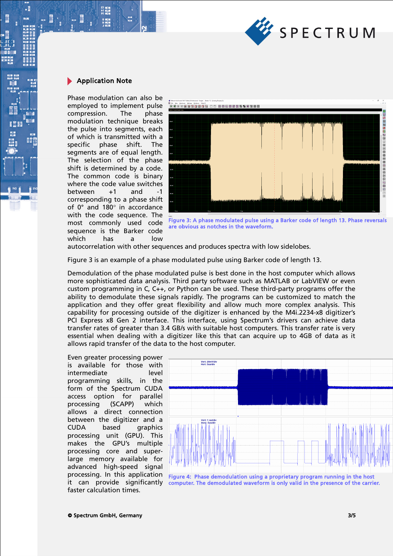

 $\cdot$ 

Phase modulation can also be employed to implement pulse compression. The phase modulation technique breaks the pulse into segments, each of which is transmitted with a specific phase shift. The segments are of equal length. The selection of the phase shift is determined by a code. The common code is binary where the code value switches between +1 and -1 corresponding to a phase shift of  $0^\circ$  and 180 $^\circ$  in accordance with the code sequence. The most commonly used code sequence is the Barker code which has a low



Figure 3: A phase modulated pulse using a Barker code of length 13. Phase reversals are obvious as notches in the waveform.

autocorrelation with other sequences and produces spectra with low sidelobes.

Figure 3 is an example of a phase modulated pulse using Barker code of length 13.

Demodulation of the phase modulated pulse is best done in the host computer which allows more sophisticated data analysis. Third party software such as MATLAB or LabVIEW or even custom programming in C, C++, or Python can be used. These third-party programs offer the ability to demodulate these signals rapidly. The programs can be customized to match the application and they offer great flexibility and allow much more complex analysis. This capability for processing outside of the digitizer is enhanced by the M4i.2234-x8 digitizer's PCI Express x8 Gen 2 interface. This interface, using Spectrum's drivers can achieve data transfer rates of greater than 3.4 GB/s with suitable host computers. This transfer rate is very essential when dealing with a digitizer like this that can acquire up to 4GB of data as it allows rapid transfer of the data to the host computer.

Even greater processing power is available for those with intermediate level programming skills, in the form of the Spectrum CUDA access option for parallel processing (SCAPP) which allows a direct connection between the digitizer and a CUDA based graphics processing unit (GPU). This makes the GPU's multiple processing core and superlarge memory available for advanced high-speed signal processing. In this application faster calculation times.



it can provide significantly computer. The demodulated waveform is only valid in the presence of the carrier. Figure 4: Phase demodulation using a proprietary program running in the host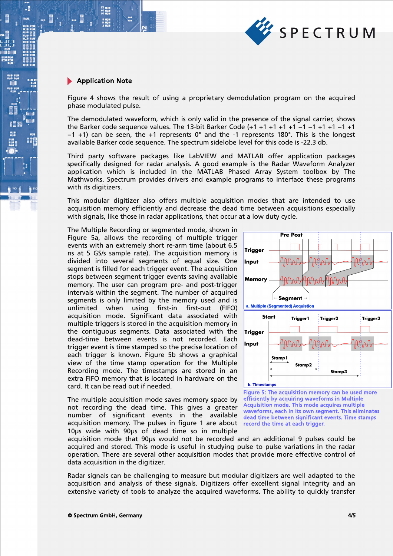

.

Figure 4 shows the result of using a proprietary demodulation program on the acquired phase modulated pulse.

The demodulated waveform, which is only valid in the presence of the signal carrier, shows the Barker code sequence values. The 13-bit Barker Code (+1 +1 +1 +1 +1 −1 −1 +1 +1 −1 +1 −1 +1) can be seen, the +1 represents 0° and the -1 represents 180°. This is the longest available Barker code sequence. The spectrum sidelobe level for this code is -22.3 db.

Third party software packages like LabVIEW and MATLAB offer application packages specifically designed for radar analysis. A good example is the Radar Waveform Analyzer application which is included in the MATLAB Phased Array System toolbox by The Mathworks. Spectrum provides drivers and example programs to interface these programs with its digitizers.

This modular digitizer also offers multiple acquisition modes that are intended to use acquisition memory efficiently and decrease the dead time between acquisitions especially with signals, like those in radar applications, that occur at a low duty cycle.

The Multiple Recording or segmented mode, shown in Figure 5a, allows the recording of multiple trigger events with an extremely short re-arm time (about 6.5 ns at 5 GS/s sample rate). The acquisition memory is divided into several segments of equal size. One segment is filled for each trigger event. The acquisition stops between segment trigger events saving available memory. The user can program pre- and post-trigger intervals within the segment. The number of acquired segments is only limited by the memory used and is unlimited when using first-in first-out (FIFO) unlimited when using first-in first-out (FIFO) acquisition mode. Significant data associated with multiple triggers is stored in the acquisition memory in the contiguous segments. Data associated with the dead-time between events is not recorded. Each trigger event is time stamped so the precise location of each trigger is known. Figure 5b shows a graphical view of the time stamp operation for the Multiple Recording mode. The timestamps are stored in an extra FIFO memory that is located in hardware on the card. It can be read out if needed.

The multiple acquisition mode saves memory space by not recording the dead time. This gives a greater number of significant events in the available acquisition memory. The pulses in figure 1 are about record the time at each trigger. 10µs wide with 90µs of dead time so in multiple



#### **b.** Timestamps

Figure 5: The acquisition memory can be used more efficiently by acquiring waveforms in Multiple Acquisition mode. This mode acquires multiple waveforms, each in its own segment. This eliminates dead time between significant events. Time stamps

acquisition mode that 90µs would not be recorded and an additional 9 pulses could be acquired and stored. This mode is useful in studying pulse to pulse variations in the radar operation. There are several other acquisition modes that provide more effective control of data acquisition in the digitizer.

Radar signals can be challenging to measure but modular digitizers are well adapted to the acquisition and analysis of these signals. Digitizers offer excellent signal integrity and an extensive variety of tools to analyze the acquired waveforms. The ability to quickly transfer